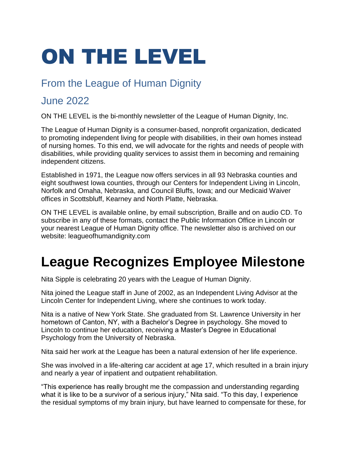# ON THE LEVEL

#### From the League of Human Dignity

#### June 2022

ON THE LEVEL is the bi-monthly newsletter of the League of Human Dignity, Inc.

The League of Human Dignity is a consumer-based, nonprofit organization, dedicated to promoting independent living for people with disabilities, in their own homes instead of nursing homes. To this end, we will advocate for the rights and needs of people with disabilities, while providing quality services to assist them in becoming and remaining independent citizens.

Established in 1971, the League now offers services in all 93 Nebraska counties and eight southwest Iowa counties, through our Centers for Independent Living in Lincoln, Norfolk and Omaha, Nebraska, and Council Bluffs, Iowa; and our Medicaid Waiver offices in Scottsbluff, Kearney and North Platte, Nebraska.

ON THE LEVEL is available online, by email subscription, Braille and on audio CD. To subscribe in any of these formats, contact the Public Information Office in Lincoln or your nearest League of Human Dignity office. The newsletter also is archived on our website: leagueofhumandignity.com

# **League Recognizes Employee Milestone**

Nita Sipple is celebrating 20 years with the League of Human Dignity.

Nita joined the League staff in June of 2002, as an Independent Living Advisor at the Lincoln Center for Independent Living, where she continues to work today.

Nita is a native of New York State. She graduated from St. Lawrence University in her hometown of Canton, NY, with a Bachelor's Degree in psychology. She moved to Lincoln to continue her education, receiving a Master's Degree in Educational Psychology from the University of Nebraska.

Nita said her work at the League has been a natural extension of her life experience.

She was involved in a life-altering car accident at age 17, which resulted in a brain injury and nearly a year of inpatient and outpatient rehabilitation.

"This experience has really brought me the compassion and understanding regarding what it is like to be a survivor of a serious injury," Nita said. "To this day, I experience the residual symptoms of my brain injury, but have learned to compensate for these, for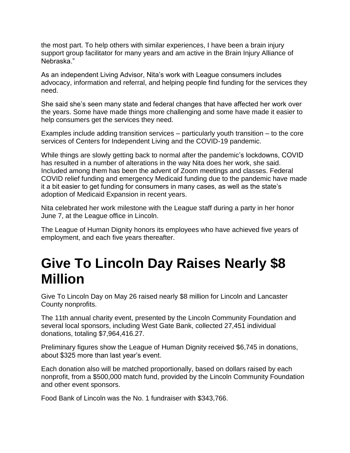the most part. To help others with similar experiences, I have been a brain injury support group facilitator for many years and am active in the Brain Injury Alliance of Nebraska."

As an independent Living Advisor, Nita's work with League consumers includes advocacy, information and referral, and helping people find funding for the services they need.

She said she's seen many state and federal changes that have affected her work over the years. Some have made things more challenging and some have made it easier to help consumers get the services they need.

Examples include adding transition services – particularly youth transition – to the core services of Centers for Independent Living and the COVID-19 pandemic.

While things are slowly getting back to normal after the pandemic's lockdowns, COVID has resulted in a number of alterations in the way Nita does her work, she said. Included among them has been the advent of Zoom meetings and classes. Federal COVID relief funding and emergency Medicaid funding due to the pandemic have made it a bit easier to get funding for consumers in many cases, as well as the state's adoption of Medicaid Expansion in recent years.

Nita celebrated her work milestone with the League staff during a party in her honor June 7, at the League office in Lincoln.

The League of Human Dignity honors its employees who have achieved five years of employment, and each five years thereafter.

#### **Give To Lincoln Day Raises Nearly \$8 Million**

Give To Lincoln Day on May 26 raised nearly \$8 million for Lincoln and Lancaster County nonprofits.

The 11th annual charity event, presented by the Lincoln Community Foundation and several local sponsors, including West Gate Bank, collected 27,451 individual donations, totaling \$7,964,416.27.

Preliminary figures show the League of Human Dignity received \$6,745 in donations, about \$325 more than last year's event.

Each donation also will be matched proportionally, based on dollars raised by each nonprofit, from a \$500,000 match fund, provided by the Lincoln Community Foundation and other event sponsors.

Food Bank of Lincoln was the No. 1 fundraiser with \$343,766.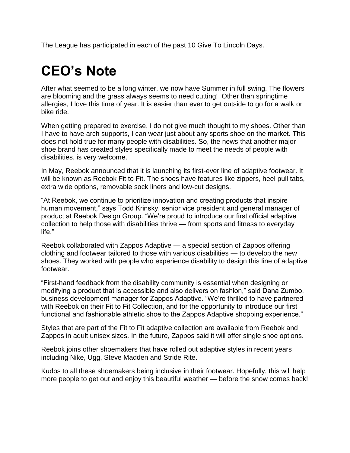The League has participated in each of the past 10 Give To Lincoln Days.

# **CEO's Note**

After what seemed to be a long winter, we now have Summer in full swing. The flowers are blooming and the grass always seems to need cutting! Other than springtime allergies, I love this time of year. It is easier than ever to get outside to go for a walk or bike ride.

When getting prepared to exercise, I do not give much thought to my shoes. Other than I have to have arch supports, I can wear just about any sports shoe on the market. This does not hold true for many people with disabilities. So, the news that another major shoe brand has created styles specifically made to meet the needs of people with disabilities, is very welcome.

In May, Reebok announced that it is launching its first-ever line of adaptive footwear. It will be known as Reebok Fit to Fit. The shoes have features like zippers, heel pull tabs, extra wide options, removable sock liners and low-cut designs.

"At Reebok, we continue to prioritize innovation and creating products that inspire human movement," says Todd Krinsky, senior vice president and general manager of product at Reebok Design Group. "We're proud to introduce our first official adaptive collection to help those with disabilities thrive — from sports and fitness to everyday life."

Reebok collaborated with Zappos Adaptive — a special section of Zappos offering clothing and footwear tailored to those with various disabilities — to develop the new shoes. They worked with people who experience disability to design this line of adaptive footwear.

"First-hand feedback from the disability community is essential when designing or modifying a product that is accessible and also delivers on fashion," said Dana Zumbo, business development manager for Zappos Adaptive. "We're thrilled to have partnered with Reebok on their Fit to Fit Collection, and for the opportunity to introduce our first functional and fashionable athletic shoe to the Zappos Adaptive shopping experience."

Styles that are part of the Fit to Fit adaptive collection are available from Reebok and Zappos in adult unisex sizes. In the future, Zappos said it will offer single shoe options.

Reebok joins other shoemakers that have rolled out adaptive styles in recent years including Nike, Ugg, Steve Madden and Stride Rite.

Kudos to all these shoemakers being inclusive in their footwear. Hopefully, this will help more people to get out and enjoy this beautiful weather — before the snow comes back!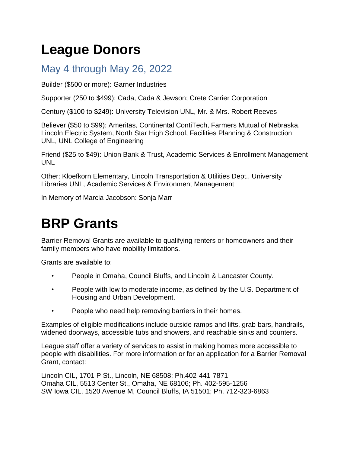# **League Donors**

#### May 4 through May 26, 2022

Builder (\$500 or more): Garner Industries

Supporter (250 to \$499): Cada, Cada & Jewson; Crete Carrier Corporation

Century (\$100 to \$249): University Television UNL, Mr. & Mrs. Robert Reeves

Believer (\$50 to \$99): Ameritas, Continental ContiTech, Farmers Mutual of Nebraska, Lincoln Electric System, North Star High School, Facilities Planning & Construction UNL, UNL College of Engineering

Friend (\$25 to \$49): Union Bank & Trust, Academic Services & Enrollment Management UNL

Other: Kloefkorn Elementary, Lincoln Transportation & Utilities Dept., University Libraries UNL, Academic Services & Environment Management

In Memory of Marcia Jacobson: Sonja Marr

## **BRP Grants**

Barrier Removal Grants are available to qualifying renters or homeowners and their family members who have mobility limitations.

Grants are available to:

- People in Omaha, Council Bluffs, and Lincoln & Lancaster County.
- People with low to moderate income, as defined by the U.S. Department of Housing and Urban Development.
- People who need help removing barriers in their homes.

Examples of eligible modifications include outside ramps and lifts, grab bars, handrails, widened doorways, accessible tubs and showers, and reachable sinks and counters.

League staff offer a variety of services to assist in making homes more accessible to people with disabilities. For more information or for an application for a Barrier Removal Grant, contact:

Lincoln CIL, 1701 P St., Lincoln, NE 68508; Ph.402-441-7871 Omaha CIL, 5513 Center St., Omaha, NE 68106; Ph. 402-595-1256 SW Iowa CIL, 1520 Avenue M, Council Bluffs, IA 51501; Ph. 712-323-6863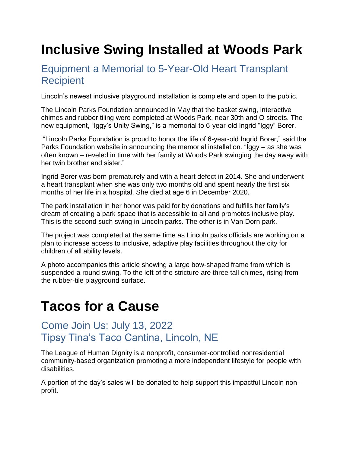# **Inclusive Swing Installed at Woods Park**

#### Equipment a Memorial to 5-Year-Old Heart Transplant **Recipient**

Lincoln's newest inclusive playground installation is complete and open to the public.

The Lincoln Parks Foundation announced in May that the basket swing, interactive chimes and rubber tiling were completed at Woods Park, near 30th and O streets. The new equipment, "Iggy's Unity Swing," is a memorial to 6-year-old Ingrid "Iggy" Borer.

"Lincoln Parks Foundation is proud to honor the life of 6-year-old Ingrid Borer," said the Parks Foundation website in announcing the memorial installation. "Iggy – as she was often known – reveled in time with her family at Woods Park swinging the day away with her twin brother and sister."

Ingrid Borer was born prematurely and with a heart defect in 2014. She and underwent a heart transplant when she was only two months old and spent nearly the first six months of her life in a hospital. She died at age 6 in December 2020.

The park installation in her honor was paid for by donations and fulfills her family's dream of creating a park space that is accessible to all and promotes inclusive play. This is the second such swing in Lincoln parks. The other is in Van Dorn park.

The project was completed at the same time as Lincoln parks officials are working on a plan to increase access to inclusive, adaptive play facilities throughout the city for children of all ability levels.

A photo accompanies this article showing a large bow-shaped frame from which is suspended a round swing. To the left of the stricture are three tall chimes, rising from the rubber-tile playground surface.

#### **Tacos for a Cause**

#### Come Join Us: July 13, 2022 Tipsy Tina's Taco Cantina, Lincoln, NE

The League of Human Dignity is a nonprofit, consumer-controlled nonresidential community-based organization promoting a more independent lifestyle for people with disabilities.

A portion of the day's sales will be donated to help support this impactful Lincoln nonprofit.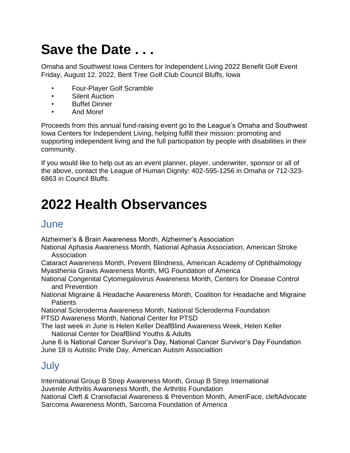# **Save the Date . . .**

Omaha and Southwest Iowa Centers for Independent Living 2022 Benefit Golf Event Friday, August 12, 2022, Bent Tree Golf Club Council Bluffs, Iowa

- Four-Player Golf Scramble
- Silent Auction
- Buffet Dinner
- And More!

Proceeds from this annual fund-raising event go to the League's Omaha and Southwest Iowa Centers for Independent Living, helping fulfill their mission: promoting and supporting independent living and the full participation by people with disabilities in their community.

If you would like to help out as an event planner, player, underwriter, sponsor or all of the above, contact the League of Human Dignity: 402-595-1256 in Omaha or 712-323- 6863 in Council Bluffs.

## **2022 Health Observances**

#### June

Alzheimer's & Brain Awareness Month, Alzheimer's Association

National Aphasia Awareness Month, National Aphasia Association, American Stroke Association

Cataract Awareness Month, Prevent Blindness, American Academy of Ophthalmology Myasthenia Gravis Awareness Month, MG Foundation of America

National Congenital Cytomegalovirus Awareness Month, Centers for Disease Control and Prevention

National Migraine & Headache Awareness Month, Coalition for Headache and Migraine **Patients** 

National Scleroderma Awareness Month, National Scleroderma Foundation PTSD Awareness Month, National Center for PTSD

The last week in June is Helen Keller DeafBlind Awareness Week, Helen Keller National Center for DeafBlind Youths & Adults

June 6 is National Cancer Survivor's Day, National Cancer Survivor's Day Foundation June 18 is Autistic Pride Day, American Autism Associaltion

#### **July**

International Group B Strep Awareness Month, Group B Strep International Juvenile Arthritis Awareness Month, the Arthritis Foundation National Cleft & Craniofacial Awareness & Prevention Month, AmeriFace, cleftAdvocate Sarcoma Awareness Month, Sarcoma Foundation of America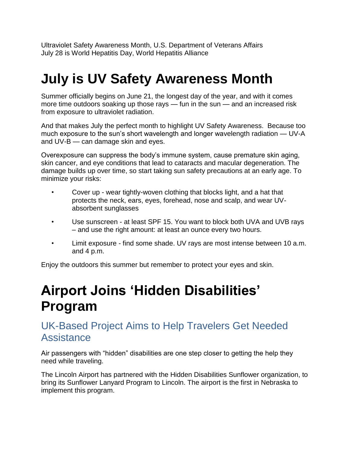Ultraviolet Safety Awareness Month, U.S. Department of Veterans Affairs July 28 is World Hepatitis Day, World Hepatitis Alliance

## **July is UV Safety Awareness Month**

Summer officially begins on June 21, the longest day of the year, and with it comes more time outdoors soaking up those rays — fun in the sun — and an increased risk from exposure to ultraviolet radiation.

And that makes July the perfect month to highlight UV Safety Awareness. Because too much exposure to the sun's short wavelength and longer wavelength radiation — UV-A and UV-B — can damage skin and eyes.

Overexposure can suppress the body's immune system, cause premature skin aging, skin cancer, and eye conditions that lead to cataracts and macular degeneration. The damage builds up over time, so start taking sun safety precautions at an early age. To minimize your risks:

- Cover up wear tightly-woven clothing that blocks light, and a hat that protects the neck, ears, eyes, forehead, nose and scalp, and wear UVabsorbent sunglasses
- Use sunscreen at least SPF 15. You want to block both UVA and UVB rays – and use the right amount: at least an ounce every two hours.
- Limit exposure find some shade. UV rays are most intense between 10 a.m. and 4 p.m.

Enjoy the outdoors this summer but remember to protect your eyes and skin.

### **Airport Joins 'Hidden Disabilities' Program**

#### UK-Based Project Aims to Help Travelers Get Needed **Assistance**

Air passengers with "hidden" disabilities are one step closer to getting the help they need while traveling.

The Lincoln Airport has partnered with the Hidden Disabilities Sunflower organization, to bring its Sunflower Lanyard Program to Lincoln. The airport is the first in Nebraska to implement this program.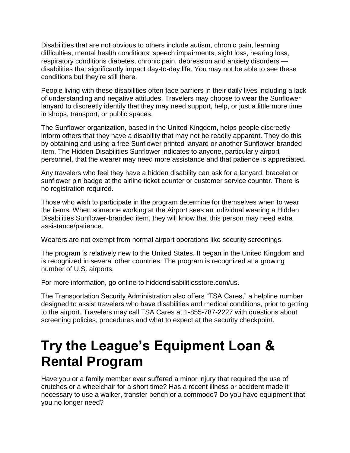Disabilities that are not obvious to others include autism, chronic pain, learning difficulties, mental health conditions, speech impairments, sight loss, hearing loss, respiratory conditions diabetes, chronic pain, depression and anxiety disorders disabilities that significantly impact day-to-day life. You may not be able to see these conditions but they're still there.

People living with these disabilities often face barriers in their daily lives including a lack of understanding and negative attitudes. Travelers may choose to wear the Sunflower lanyard to discreetly identify that they may need support, help, or just a little more time in shops, transport, or public spaces.

The Sunflower organization, based in the United Kingdom, helps people discreetly inform others that they have a disability that may not be readily apparent. They do this by obtaining and using a free Sunflower printed lanyard or another Sunflower-branded item. The Hidden Disabilities Sunflower indicates to anyone, particularly airport personnel, that the wearer may need more assistance and that patience is appreciated.

Any travelers who feel they have a hidden disability can ask for a lanyard, bracelet or sunflower pin badge at the airline ticket counter or customer service counter. There is no registration required.

Those who wish to participate in the program determine for themselves when to wear the items. When someone working at the Airport sees an individual wearing a Hidden Disabilities Sunflower-branded item, they will know that this person may need extra assistance/patience.

Wearers are not exempt from normal airport operations like security screenings.

The program is relatively new to the United States. It began in the United Kingdom and is recognized in several other countries. The program is recognized at a growing number of U.S. airports.

For more information, go online to hiddendisabilitiesstore.com/us.

The Transportation Security Administration also offers "TSA Cares," a helpline number designed to assist travelers who have disabilities and medical conditions, prior to getting to the airport. Travelers may call TSA Cares at 1-855-787-2227 with questions about screening policies, procedures and what to expect at the security checkpoint.

#### **Try the League's Equipment Loan & Rental Program**

Have you or a family member ever suffered a minor injury that required the use of crutches or a wheelchair for a short time? Has a recent illness or accident made it necessary to use a walker, transfer bench or a commode? Do you have equipment that you no longer need?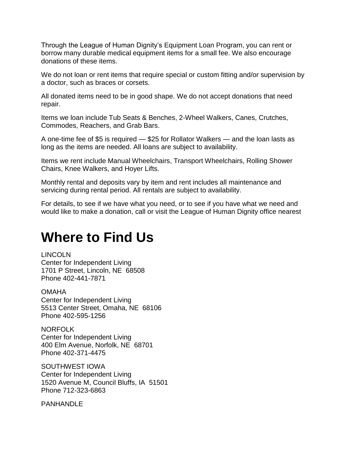Through the League of Human Dignity's Equipment Loan Program, you can rent or borrow many durable medical equipment items for a small fee. We also encourage donations of these items.

We do not loan or rent items that require special or custom fitting and/or supervision by a doctor, such as braces or corsets.

All donated items need to be in good shape. We do not accept donations that need repair.

Items we loan include Tub Seats & Benches, 2-Wheel Walkers, Canes, Crutches, Commodes, Reachers, and Grab Bars.

A one-time fee of \$5 is required — \$25 for Rollator Walkers — and the loan lasts as long as the items are needed. All loans are subject to availability.

Items we rent include Manual Wheelchairs, Transport Wheelchairs, Rolling Shower Chairs, Knee Walkers, and Hoyer Lifts.

Monthly rental and deposits vary by item and rent includes all maintenance and servicing during rental period. All rentals are subject to availability.

For details, to see if we have what you need, or to see if you have what we need and would like to make a donation, call or visit the League of Human Dignity office nearest

#### **Where to Find Us**

LINCOLN

Center for Independent Living 1701 P Street, Lincoln, NE 68508 Phone 402-441-7871

**OMAHA** Center for Independent Living 5513 Center Street, Omaha, NE 68106 Phone 402-595-1256

NORFOLK Center for Independent Living 400 Elm Avenue, Norfolk, NE 68701 Phone 402-371-4475

SOUTHWEST IOWA Center for Independent Living 1520 Avenue M, Council Bluffs, IA 51501 Phone 712-323-6863

PANHANDLE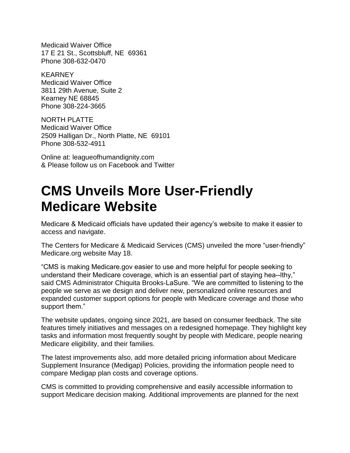Medicaid Waiver Office 17 E 21 St., Scottsbluff, NE 69361 Phone 308-632-0470

**KEARNEY** Medicaid Waiver Office 3811 29th Avenue, Suite 2 Kearney NE 68845 Phone 308-224-3665

NORTH PLATTE Medicaid Waiver Office 2509 Halligan Dr., North Platte, NE 69101 Phone 308-532-4911

Online at: leagueofhumandignity.com & Please follow us on Facebook and Twitter

#### **CMS Unveils More User-Friendly Medicare Website**

Medicare & Medicaid officials have updated their agency's website to make it easier to access and navigate.

The Centers for Medicare & Medicaid Services (CMS) unveiled the more "user-friendly" Medicare.org website May 18.

"CMS is making Medicare.gov easier to use and more helpful for people seeking to understand their Medicare coverage, which is an essential part of staying hea--lthy," said CMS Administrator Chiquita Brooks-LaSure. "We are committed to listening to the people we serve as we design and deliver new, personalized online resources and expanded customer support options for people with Medicare coverage and those who support them."

The website updates, ongoing since 2021, are based on consumer feedback. The site features timely initiatives and messages on a redesigned homepage. They highlight key tasks and information most frequently sought by people with Medicare, people nearing Medicare eligibility, and their families.

The latest improvements also, add more detailed pricing information about Medicare Supplement Insurance (Medigap) Policies, providing the information people need to compare Medigap plan costs and coverage options.

CMS is committed to providing comprehensive and easily accessible information to support Medicare decision making. Additional improvements are planned for the next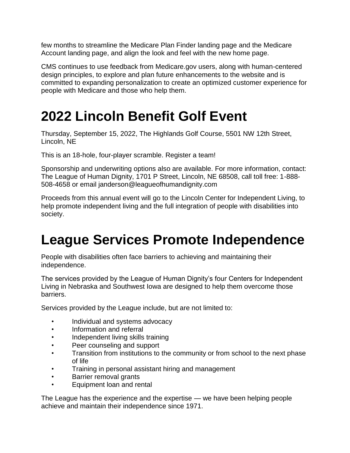few months to streamline the Medicare Plan Finder landing page and the Medicare Account landing page, and align the look and feel with the new home page.

CMS continues to use feedback from Medicare.gov users, along with human-centered design principles, to explore and plan future enhancements to the website and is committed to expanding personalization to create an optimized customer experience for people with Medicare and those who help them.

## **2022 Lincoln Benefit Golf Event**

Thursday, September 15, 2022, The Highlands Golf Course, 5501 NW 12th Street, Lincoln, NE

This is an 18-hole, four-player scramble. Register a team!

Sponsorship and underwriting options also are available. For more information, contact: The League of Human Dignity, 1701 P Street, Lincoln, NE 68508, call toll free: 1-888- 508-4658 or email janderson@leagueofhumandignity.com

Proceeds from this annual event will go to the Lincoln Center for Independent Living, to help promote independent living and the full integration of people with disabilities into society.

# **League Services Promote Independence**

People with disabilities often face barriers to achieving and maintaining their independence.

The services provided by the League of Human Dignity's four Centers for Independent Living in Nebraska and Southwest Iowa are designed to help them overcome those barriers.

Services provided by the League include, but are not limited to:

- Individual and systems advocacy
- Information and referral
- Independent living skills training
- Peer counseling and support
- Transition from institutions to the community or from school to the next phase of life
- Training in personal assistant hiring and management
- Barrier removal grants
- Equipment loan and rental

The League has the experience and the expertise — we have been helping people achieve and maintain their independence since 1971.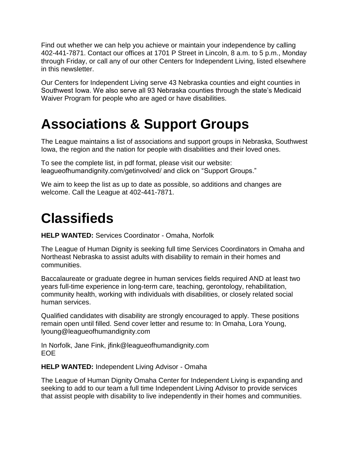Find out whether we can help you achieve or maintain your independence by calling 402-441-7871. Contact our offices at 1701 P Street in Lincoln, 8 a.m. to 5 p.m., Monday through Friday, or call any of our other Centers for Independent Living, listed elsewhere in this newsletter.

Our Centers for Independent Living serve 43 Nebraska counties and eight counties in Southwest Iowa. We also serve all 93 Nebraska counties through the state's Medicaid Waiver Program for people who are aged or have disabilities.

## **Associations & Support Groups**

The League maintains a list of associations and support groups in Nebraska, Southwest Iowa, the region and the nation for people with disabilities and their loved ones.

To see the complete list, in pdf format, please visit our website: leagueofhumandignity.com/getinvolved/ and click on "Support Groups."

We aim to keep the list as up to date as possible, so additions and changes are welcome. Call the League at 402-441-7871.

### **Classifieds**

**HELP WANTED:** Services Coordinator - Omaha, Norfolk

The League of Human Dignity is seeking full time Services Coordinators in Omaha and Northeast Nebraska to assist adults with disability to remain in their homes and communities.

Baccalaureate or graduate degree in human services fields required AND at least two years full-time experience in long-term care, teaching, gerontology, rehabilitation, community health, working with individuals with disabilities, or closely related social human services.

Qualified candidates with disability are strongly encouraged to apply. These positions remain open until filled. Send cover letter and resume to: In Omaha, Lora Young, lyoung@leagueofhumandignity.com

In Norfolk, Jane Fink, [jfink@leagueofhumandignity.com](mailto:jfink@leagueofhumandignity.com) EOE

**HELP WANTED:** Independent Living Advisor - Omaha

The League of Human Dignity Omaha Center for Independent Living is expanding and seeking to add to our team a full time Independent Living Advisor to provide services that assist people with disability to live independently in their homes and communities.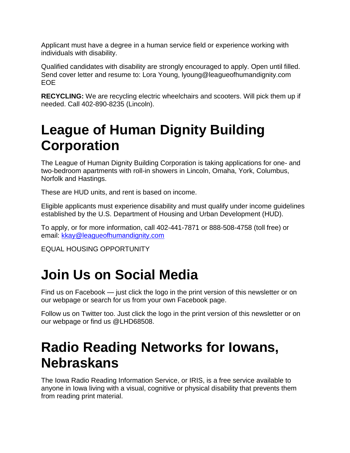Applicant must have a degree in a human service field or experience working with individuals with disability.

Qualified candidates with disability are strongly encouraged to apply. Open until filled. Send cover letter and resume to: Lora Young, lyoung@leagueofhumandignity.com EOE

**RECYCLING:** We are recycling electric wheelchairs and scooters. Will pick them up if needed. Call 402-890-8235 (Lincoln).

### **League of Human Dignity Building Corporation**

The League of Human Dignity Building Corporation is taking applications for one- and two-bedroom apartments with roll-in showers in Lincoln, Omaha, York, Columbus, Norfolk and Hastings.

These are HUD units, and rent is based on income.

Eligible applicants must experience disability and must qualify under income guidelines established by the U.S. Department of Housing and Urban Development (HUD).

To apply, or for more information, call 402-441-7871 or 888-508-4758 (toll free) or email: [kkay@leagueofhumandignity.com](mailto:kkay@leagueofhumandignity.com)

EQUAL HOUSING OPPORTUNITY

### **Join Us on Social Media**

Find us on Facebook — just click the logo in the print version of this newsletter or on our webpage or search for us from your own Facebook page.

Follow us on Twitter too. Just click the logo in the print version of this newsletter or on our webpage or find us @LHD68508.

#### **Radio Reading Networks for Iowans, Nebraskans**

The Iowa Radio Reading Information Service, or IRIS, is a free service available to anyone in Iowa living with a visual, cognitive or physical disability that prevents them from reading print material.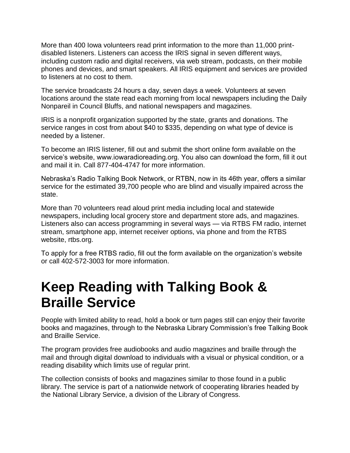More than 400 Iowa volunteers read print information to the more than 11,000 printdisabled listeners. Listeners can access the IRIS signal in seven different ways, including custom radio and digital receivers, via web stream, podcasts, on their mobile phones and devices, and smart speakers. All IRIS equipment and services are provided to listeners at no cost to them.

The service broadcasts 24 hours a day, seven days a week. Volunteers at seven locations around the state read each morning from local newspapers including the Daily Nonpareil in Council Bluffs, and national newspapers and magazines.

IRIS is a nonprofit organization supported by the state, grants and donations. The service ranges in cost from about \$40 to \$335, depending on what type of device is needed by a listener.

To become an IRIS listener, fill out and submit the short online form available on the service's website, www.iowaradioreading.org. You also can download the form, fill it out and mail it in. Call 877-404-4747 for more information.

Nebraska's Radio Talking Book Network, or RTBN, now in its 46th year, offers a similar service for the estimated 39,700 people who are blind and visually impaired across the state.

More than 70 volunteers read aloud print media including local and statewide newspapers, including local grocery store and department store ads, and magazines. Listeners also can access programming in several ways — via RTBS FM radio, internet stream, smartphone app, internet receiver options, via phone and from the RTBS website, rtbs.org.

To apply for a free RTBS radio, fill out the form available on the organization's website or call 402-572-3003 for more information.

#### **Keep Reading with Talking Book & Braille Service**

People with limited ability to read, hold a book or turn pages still can enjoy their favorite books and magazines, through to the Nebraska Library Commission's free Talking Book and Braille Service.

The program provides free audiobooks and audio magazines and braille through the mail and through digital download to individuals with a visual or physical condition, or a reading disability which limits use of regular print.

The collection consists of books and magazines similar to those found in a public library. The service is part of a nationwide network of cooperating libraries headed by the National Library Service, a division of the Library of Congress.